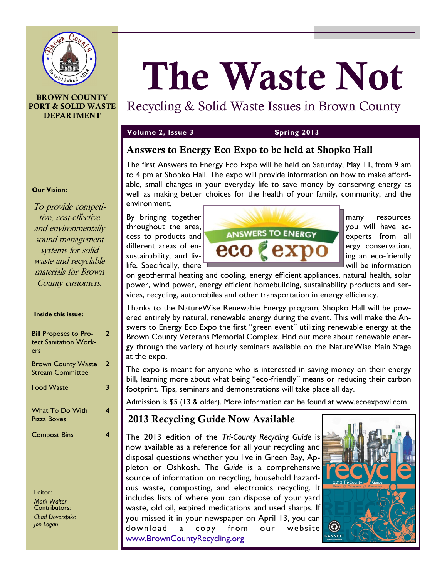

#### **BROWN COUNTY PORT & SOLID WASTE DEPARTMENT**

# **The Waste Not**

## Recycling & Solid Waste Issues in Brown County

#### **Volume 2, Issue 3 Spring 2013**

#### **Answers to Energy Eco Expo to be held at Shopko Hall**

The first Answers to Energy Eco Expo will be held on Saturday, May 11, from 9 am to 4 pm at Shopko Hall. The expo will provide information on how to make affordable, small changes in your everyday life to save money by conserving energy as well as making better choices for the health of your family, community, and the environment.



on geothermal heating and cooling, energy efficient appliances, natural health, solar power, wind power, energy efficient homebuilding, sustainability products and services, recycling, automobiles and other transportation in energy efficiency.

Thanks to the NatureWise Renewable Energy program, Shopko Hall will be powered entirely by natural, renewable energy during the event. This will make the Answers to Energy Eco Expo the first "green event" utilizing renewable energy at the Brown County Veterans Memorial Complex. Find out more about renewable energy through the variety of hourly seminars available on the NatureWise Main Stage at the expo.

The expo is meant for anyone who is interested in saving money on their energy bill, learning more about what being "eco-friendly" means or reducing their carbon footprint. Tips, seminars and demonstrations will take place all day.

Admission is \$5 (13 & older). More information can be found at www.ecoexpowi.com

### **2013 Recycling Guide Now Available**

The 2013 edition of the *Tri-County Recycling Guide* is now available as a reference for all your recycling and disposal questions whether you live in Green Bay, Appleton or Oshkosh. The *Guide* is a comprehensive source of information on recycling, household hazardous waste, composting, and electronics recycling. It includes lists of where you can dispose of your yard waste, old oil, expired medications and used sharps. If you missed it in your newspaper on April 13, you can download a copy from our website [www.BrownCountyRecycling.org](http://www.BrownCountyRecycling.org)



#### **Our Vision:**

To provide competitive, cost-effective and environmentally sound management systems for solid waste and recyclable materials for Brown County customers.

#### **Inside this issue:**

| <b>Bill Proposes to Pro-</b><br>tect Sanitation Work-<br>ers | 2 |
|--------------------------------------------------------------|---|
| <b>Brown County Waste</b><br><b>Stream Committee</b>         | 2 |
| <b>Food Waste</b>                                            | 3 |
| <b>What To Do With</b><br>Pizza Boxes                        |   |
| <b>Compost Bins</b>                                          |   |
|                                                              |   |

Editor: *Mark Walter* Contributors: *Chad Doverspike Jon Logan*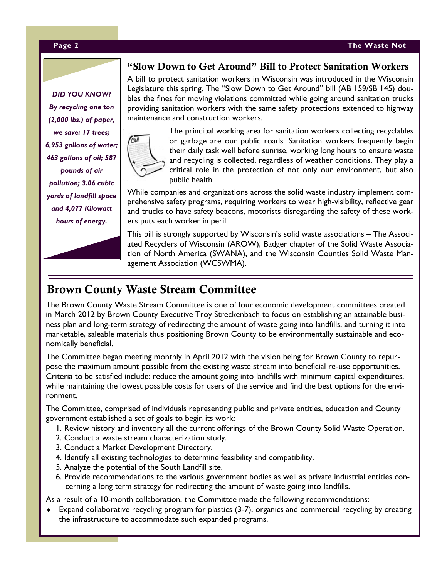#### **Page 2 The Waste Not**

*DID YOU KNOW? By recycling one ton (2,000 lbs.) of paper, we save: 17 trees; 6,953 gallons of water; 463 gallons of oil; 587 pounds of air pollution; 3.06 cubic yards of landfill space and 4,077 Kilowatt hours of energy.*

#### **"Slow Down to Get Around" Bill to Protect Sanitation Workers**

A bill to protect sanitation workers in Wisconsin was introduced in the Wisconsin Legislature this spring. The "Slow Down to Get Around" bill (AB 159/SB 145) doubles the fines for moving violations committed while going around sanitation trucks providing sanitation workers with the same safety protections extended to highway maintenance and construction workers.



The principal working area for sanitation workers collecting recyclables or garbage are our public roads. Sanitation workers frequently begin their daily task well before sunrise, working long hours to ensure waste and recycling is collected, regardless of weather conditions. They play a critical role in the protection of not only our environment, but also public health.

While companies and organizations across the solid waste industry implement comprehensive safety programs, requiring workers to wear high-visibility, reflective gear and trucks to have safety beacons, motorists disregarding the safety of these workers puts each worker in peril.

This bill is strongly supported by Wisconsin's solid waste associations – The Associated Recyclers of Wisconsin (AROW), Badger chapter of the Solid Waste Association of North America (SWANA), and the Wisconsin Counties Solid Waste Management Association (WCSWMA).

#### **Brown County Waste Stream Committee**

The Brown County Waste Stream Committee is one of four economic development committees created in March 2012 by Brown County Executive Troy Streckenbach to focus on establishing an attainable business plan and long-term strategy of redirecting the amount of waste going into landfills, and turning it into marketable, saleable materials thus positioning Brown County to be environmentally sustainable and economically beneficial.

The Committee began meeting monthly in April 2012 with the vision being for Brown County to repurpose the maximum amount possible from the existing waste stream into beneficial re-use opportunities. Criteria to be satisfied include: reduce the amount going into landfills with minimum capital expenditures, while maintaining the lowest possible costs for users of the service and find the best options for the environment.

The Committee, comprised of individuals representing public and private entities, education and County government established a set of goals to begin its work:

- 1. Review history and inventory all the current offerings of the Brown County Solid Waste Operation.
- 2. Conduct a waste stream characterization study.
- 3. Conduct a Market Development Directory.
- 4. Identify all existing technologies to determine feasibility and compatibility.
- 5. Analyze the potential of the South Landfill site.
- 6. Provide recommendations to the various government bodies as well as private industrial entities concerning a long term strategy for redirecting the amount of waste going into landfills.

As a result of a 10-month collaboration, the Committee made the following recommendations:

 Expand collaborative recycling program for plastics (3-7), organics and commercial recycling by creating the infrastructure to accommodate such expanded programs.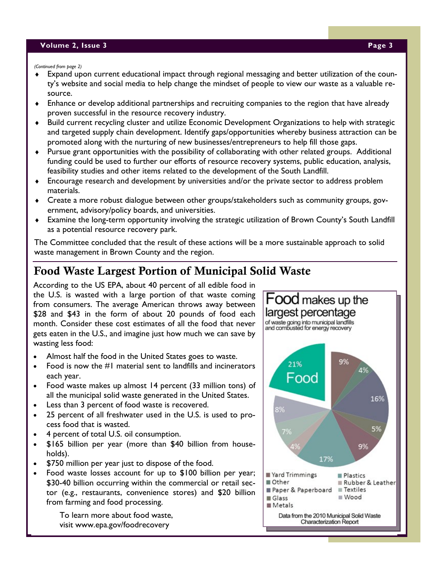#### **Volume 2, Issue 3 Page 3**

*(Continued from page 2)*

- Expand upon current educational impact through regional messaging and better utilization of the county's website and social media to help change the mindset of people to view our waste as a valuable resource.
- Enhance or develop additional partnerships and recruiting companies to the region that have already proven successful in the resource recovery industry.
- Build current recycling cluster and utilize Economic Development Organizations to help with strategic and targeted supply chain development. Identify gaps/opportunities whereby business attraction can be promoted along with the nurturing of new businesses/entrepreneurs to help fill those gaps.
- Pursue grant opportunities with the possibility of collaborating with other related groups. Additional funding could be used to further our efforts of resource recovery systems, public education, analysis, feasibility studies and other items related to the development of the South Landfill.
- Encourage research and development by universities and/or the private sector to address problem materials.
- Create a more robust dialogue between other groups/stakeholders such as community groups, government, advisory/policy boards, and universities.
- Examine the long-term opportunity involving the strategic utilization of Brown County's South Landfill as a potential resource recovery park.

The Committee concluded that the result of these actions will be a more sustainable approach to solid waste management in Brown County and the region.

## **Food Waste Largest Portion of Municipal Solid Waste**

According to the US EPA, about 40 percent of all edible food in the U.S. is wasted with a large portion of that waste coming from consumers. The average American throws away between \$28 and \$43 in the form of about 20 pounds of food each month. Consider these cost estimates of all the food that never gets eaten in the U.S., and imagine just how much we can save by wasting less food:

- Almost half the food in the United States goes to waste.
- Food is now the #1 material sent to landfills and incinerators each year.
- Food waste makes up almost 14 percent (33 million tons) of all the municipal solid waste generated in the United States.
- Less than 3 percent of food waste is recovered.
- 25 percent of all freshwater used in the U.S. is used to process food that is wasted.
- 4 percent of total U.S. oil consumption.
- \$165 billion per year (more than \$40 billion from households).
- \$750 million per year just to dispose of the food.
- Food waste losses account for up to \$100 billion per year; \$30-40 billion occurring within the commercial or retail sector (e.g., restaurants, convenience stores) and \$20 billion from farming and food processing.

To learn more about food waste, visit www.epa.gov/foodrecovery